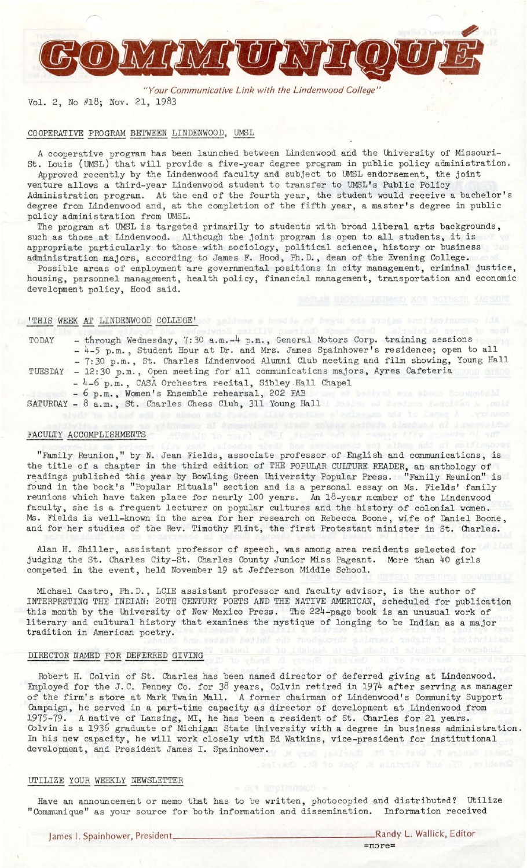

*"Your Communicative Link with the Lindenwood College"*  Vol. 2, No #18; *Nov.* 21, 1983

### COOPERATIVE PROGRAM BETWEEN LINDENWOOD, UMSL

A cooperative program has been launched between Lindenwood and the University of Missouri-St. Louis (UMSL) that will provide a five-year degree program in public policy administration.

Approved recently by the Lindenwood faculty and subject to UMSL endorsement, the joint venture allows a third-year Lindenwood student to transfer to UMSL's Public Policy Administration program. At the end of the fourth year, the student would receive a bachelor's degree from Lindenwood and, at the completion of the fifth year, a master's degree in public policy administration from UMSL.

The program at UMSL is targeted primarily to students with broad liberal arts backgrounds, such as those at Lindenwood. Although the joint program is open to all students, it is appropriate particularly to those with sociology, political science, history or business administration majors, according to James F. Hood, Ph.D., dean of the Evening College.

Possible areas of employment are governmental positions in city management, criminal justice, housing, personnel management, health policy, financial management, transportation and economic development policy, Hood said.

# 'THIS WEEK AT LINDENWOOD COLLEGE' of as less a break of began sea such an another hours of Lin

| TODAY | - through Wednesday, 7:30 a.m.-4 p.m., General Motors Corp. training sessions<br>- 4-5 p.m., Student Hour at Dr. and Mrs. James Spainhower's residence; open to all |
|-------|---------------------------------------------------------------------------------------------------------------------------------------------------------------------|
|       | - 7:30 p.m., St. Charles Lindenwood Alumni Club meeting and film showing, Young Hall                                                                                |
|       | TUESDAY - 12:30 p.m., Open meeting for all communications majors, Ayres Cafeteria                                                                                   |
|       | - 4-6 p.m., CASA Orchestra recital, Sibley Hall Chapel                                                                                                              |
|       | - 6 p.m., Women's Ensemble rehearsal, 202 FAB<br>mukul ata abaca koovsekaki                                                                                         |

SATURDAY - 8 a.m., St. Charles Chess Club, 311 Young Hall and the state of the state of the state of the state of the state of the state of the state of the state of the state of the state of the state of the state of the

### FACULTY ACCOMPLISHMENTS

"Family Reunion," by N. Jean Fields, associate professor of English and communications, is the title of a chapter in the third edition of THE POPULAR CULTURE READER, an anthology of readings published this year by Bowling Green University Popular Press. "Family Reunion" is found in the book's "Popular Rituals" section and is a personal essay on Ms. Fields' family reunions which have taken place for nearly 100 years. An 18-year member of the Lindenwood faculty, she is a frequent lecturer on popular cultures and the history of colonial women. Ms. Fields is well-known in the area for her research on Rebecca Boone, wife of Daniel Boone, and for her studies of the Rev. Timothy Flint, the first Protestant minister in St. Charles.

Alan H. Shiller, assistant professor of speech, was among area residents selected for judging the St. Charles City-St. Charles County Junior Miss Pageant. More than 40 girls competed in the event, held November 19 at Jefferson Middle School.

Michael Castro, Ph.D., LCIE assistant professor and faculty advisor, is the author of INTERPRETING THE INDIAN: 20TH CENTURY POETS AND THE NATIVE AMERICAN, scheduled for publication this month by the University of New Mexico Press. The 224-page book is an unusual work of literary and cultural history that examines the mystique of longing to be Indian as a major tradition in American poetry.

## DIRECTOR NAMED FOR DEFERRED GIVING

Robert H. Colvin of St. Charles has been named director of deferred giving at Lindenwood. Employed for the J.C. Penney Co. for 38 years, Colvin retired in 1974 after serving as manager of the firm's store at Mark Twain Mall. A former chairman of Lindenwood's Community Support Campaign, he served in a part-time capacity as director of development at Lindenwood from 1975-79. A native of Lansing, MI, he has been a resident of St. Charles for 21 years. Colvin is a 1936 graduate of Michigan State University with a degree in business administration. In his *new* capacity, he will work closely with Ed Watkins, vice-president for institutional development, and President James I. Spainhower.

### UTILIZE YOUR WEEKLY NEWSLETTER

Have an announcement or memo that has to be written, photocopied and distributed? utilize "Communique" as your source for both information and dissemination. Information received